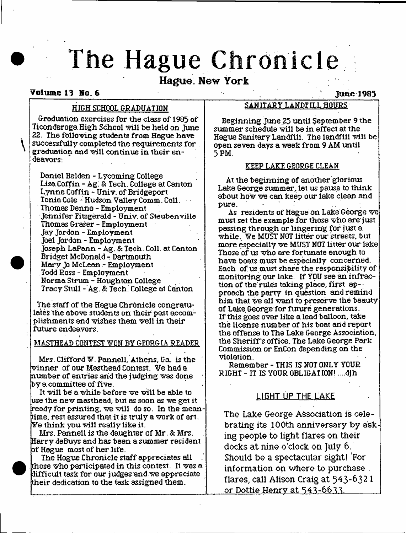# **The Hague Chronicle**

# **Hague. New York**

## Volume 13 No. 6  $\blacksquare$

Graduation exercises for the class of 1985 of Ticonderoga High School will be held on June 22. The following students from Hague have successfully completed the requirements for . graduation and will continue in their endeavors:

Daniel Belden - Lycoming College Lisa Coffin - Ag. & Tech. College at Canton Lynne Coffin - Univ. of Bridgeport Tonia Cole - Hudson Valley Comm. Coll. Thomas Denno - Employment Jennifer Eitzgerald - Univ. of Steubenville Thomas Graser - Employment Jay Jordon - Employment Joel Jordon - Employment Joseph LaPann - Ag. & Tech. Coll. at Canton Bridget McDonald - Dartmouth Mary Jo McLean - Employment . Todd Ross - Employment Norma Strum - Houghton College Tracy Stull - Ag. & Tech. College at Canton

The staff of the Hague Chronicle congratulates the above students on their past accomplishments and wishes them well in their future endeavors.

## **MASTHEAD CONTEST WON BY GEORGIA READER**

Mrs. Clifford W. PannelL Athens, Ga. is the winner of our Masthead Contest. We had a number of entries and the judging was done  $by$  a committee of five.

It will be' a while before we will be able to use the new masthead, but as soon as we get it ready for printing, we will do so. In the meantime, rest assured that it is truly a work of art. We think you will really like it.

Mrs. Pannell is the daughter of Mr. & Mrs. Harry deBuys and has been a summer resident of Hague most of her life.

The Hague Chronicle staff appreciates all those who participated in this contest. It was a difficult task for our judges and we appreciate their dedication to the task assigned them.

# HIGH SCHOOL GRADUATION SANITARY LANDFILL HOURS

Beginning June 25 until September 9 the summer schedule will be in effect at the Hague Sanitary Landfill. The landfill will be open seven days a week from 9 AM until 5 PM.

#### KEEP LAKE GEORGE CLEAN

At the beginning of another glorious Lake George summer, let us pause to think about how we can keep our lake clean and pure.

As residents of Hague on Lake George we must set the example for those who are just passing through or lingering for just a while. We MUST NOT litter our streets, but more especially we MUST NOT litter our lake Those of us who are fortunate enough to have boats must be especially concerned. Each of us must share the responsibility of monitoring our lake. If YOU see an infraction of the rules taking place, first ap-; proach the party in question and remind him that we all want to preserve the beauty of Lake George for future generations. If this goes over like a lead balloon, take the license number of his boat and report the offense to The Lake George Association, the Sheriff's office. The Lake George Park Commission or EnCon depending on the violation.

Remember - THIS IS NOT ONLY YOUR RIGHT - IT IS YOUR OBLIGATION! ....djh

# **LIGHT UP THE LAKE**

**The Lake George Association is celebrating its 100th anniversary by asking people to light flares on their docks at nine o 'clock on July 6. Should be a spectacular sight! 'For information on where to purchase . flares, call Alison Craig at 543 -632 1 or Dottie Henry at 543-6633.**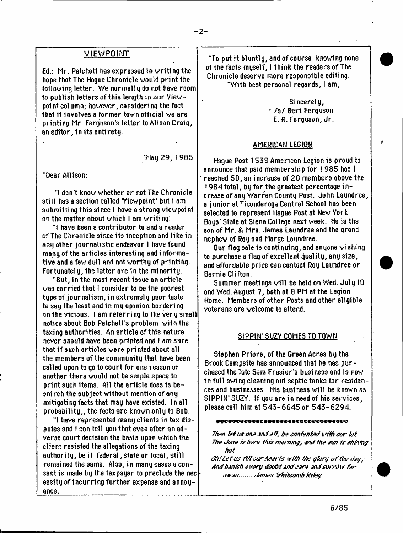#### **VIEWPQINT**

Ed.: Mr. Patchett has expressed in w riting the hope that The Hague Chronicle would print the following letter. We normally do not have room to publish letters of this length in our Viewpoint column; however, considering the fact that it involves a former town official we are printing Mr. Ferguson's letter to Alison Craig, an editor, in its entirety.

"May 29, 1985

"Dear Allison:

"I don't know whether or not The Chronicle still has a section called 'Viewpoint' but I am submitting this since I have a strong viewpoint on the matter about which I am writing.

"1 have been a contributor to and a reader of The Chronicle since its inception and like in any other journalistic endeavor I have found many of the articles interesting and informative and a few dull and not worthy of printing. Fortunately, the latter are in the minority.

"But, in the most recent issue an article was carried that 1 consider to be the poorest type of journalism , in extremely poor taste to say the least and in my opinion bordering on the vicious. I am referring to the very small notice about Bob Patchett's problem with the taxing authorities. An article of this nature never should have been printed and I am sure that if such articles were printed about all the members of the community that have been called upon to go to court for one reason or another there would not be ample 3pace to print such items. All the article does is besnirch the subject without mention of any mitigating facts that may have existed. In all probability,, the facts are known only to Bob.

"I have represented many clients in tax disputes and I can tell you that even after an adverse court decision the basi3 upon which the client resisted the allegations of the taxing authority, be it federal, state or local, still remained the same. AI**30**, in many cases a consent is made by the taxpayer to preclude the nect essity of incurring further expense and annoyance.

"To put it bluntly, and of course knowing none of the facts myself, I think the readers of The Chronicle deserve more responsible editing. "With best personal regards, I am,

— 1

Sincerely, j / s / Bert Ferguson E. R. Ferguson, Jr.

#### AMERICAN LEGIQM

Hague Post 1538 American Legion is proud to announce that paid membership for 1985 has ] reached 50, an increase of 20 members above the 1 9 8 4 total , by far the greatest percentage i ncrease of any Warren County Post. John Laundree, a junior at Ticonderoga Central School has been selected to represent Hague Post at New York Boys' State at Siena College next week. He i3 the son of Mr. & Mrs. James Laundree and the grand nephew of Ray and Marge Laundree.

Our flag sale is continuing, and anyone wishing to purchase a flag of excellent quality, any size, and affordable price can contact Ray Laundree or Bernie Clifton.

Summer meetings will be held on Wed. July 10 and Wed. August 7, both at 8 PM at the Legion Home. Members of other Posts and other eligible veterans are welcome to attend.

#### SIPPjN'-SUZV COMES TO TQWN

Stephen Priore, of the Green Acres by the Brook Campsite has announced that he has purchased the late Sam F rasier's business and is now in full swing cleaning out septic tanks for residences and businesses. His business will be known a3 SIPPIW SUZY. If you are in need of his services, please call him at 543-6645 or 543-6294.

#### \*\*\*\*\*\*\*\*\*\*\*\*\*\*\*\*\*\*\*\*\*\*\*\*\*\*\*\*\*\*\*\*

*Then let us one and all, be contented with our-lot The <Juite tshete this owning, o n i the sun is shining hot*

*Oh! le t us tr'H our hest'ts with the gfory o f the efsy; Anti banish e vety tioubt otui core end soty-bw far owou. <Jj/f??es Whitoomb Riley*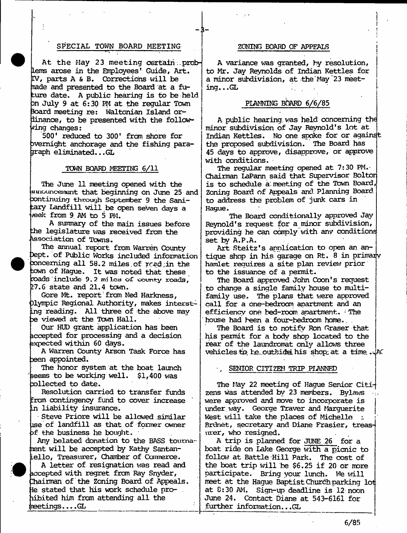### SPECIAL TOWN BOARD MEETING **FOARD SOMING BOARD OF APPEALS**

**At the May 23 meeting certain.. problems arose in the Employees\* Guide, Art. EV, parts A & B. Corrections will be Tiade and presented to the Board at a future date. A public hearing is to be held Dn July 9 at 6:30 PM at the regular Town 3oard meeting re: Waltonian Island ordinance, to be presented with the following changes:**

**500\* reduced to 300\* from shore for overnight anchorage and the fishing paragraph eliminated.. .GL**

#### **TOWN BOARD MEETING 6/11**

**The June 11 meeting opened with the aiinounceinent that beginning on June 25 and xmtinuing through September 9 the -Sanitary Landfill will be open seven days a \*eek from 9 AM to 5 PM.**

**A summary of the main issues before the legislature was received from the .Association of Towns.**

**The annual report from Warren County IDept. of Public Works included information x>nceming all 58.2 miles.of rrad;in the town of Hague. It was noted that these roads include 9.2 mi lea of county roads, 27.6 state and 21.4 town.**

**Gore Mt. report from Ned Harkness, )lympic Regional Authority, makes interst-Lng reading. All three of the above may ?e viewed at the Town Hall.**

**Our HUD grant application has been accepted for processing and a decision expected within 60 days.**

**A Warren County Arson Task Force has oeen appointed.**

**The honor system at the boat launch seems to be working well. \$1,400 was collected to date.**

**Resolution carried to transfer funds from contingency fund to cover increase In liability insurance.**

**Steve Priore will be allowed similar use of landfill as that of former owner of the business he bought.**

**Any belated donation to the BASS touma- :nent will be accepted by Kathy Santan-Lello, Treasurer, Chamber of Commerce.**

**A letter of resignation was read and accepted with regret from Ray Snyder, Chairman of the Zoning Board of Appeals. fe stated that his work schedule pro- . libited him from attending all the ineetings... .GL**

**A variance was granted, by resolution, to Mr. Jay Reynolds of Indian Kettles for a minor subdivision, at the May 23 meeting. . .GL**

#### PLANNING BOARD 6/6/85

**A public hearing, was held concerning the minor subdivision of Jay Reynold's lot at Indian Kettles. No one spoke for or against tlie proposed subdivision. The Board has 45 days to approve, disapprove, or approve with conditions.**

**The regular meeting opened at 7:30 PM.- Chairman LaPann said that Supervisor Boltor is to schedule a meeting of the Town Board, Zoning Board of Appeals and. Planning Board to address the problem of junk cars in Hague.**

**The Board conditionally approved Jay Reynold's request for a minor subdivision, providing he can comply with anv conditions set by A.P.A.**

**Art Steitz's application to open an antique shop in his garage on Rt. 8 in primaijy hamlet requires a site plan review prior to the issuance of a permit.**

**The Board approved John Coon's request to change a single family house to multifamily use. The plans that were approved call for a one-bedroom apartment and an efficiency one bed-rocro apartment. : The house had been a four-bedroom home..**

The Board is to notify Ron Graser that his permit for a body shop located to the **rear of the laundromat only allows three vehicles to> he.outsida his shop; at a time.**

#### SENIOR CITIZEN TRIP PLANNED

**The May 22 meeting of Hague Senior Citizens was attended by 23 members. Bylaws were approved and move to incorporate is under way. George Traver and Marguerite West will take the places of Michelle i Brdnet, secretary and Diane Frasier, treasurer, who resigned.**

**A trip is planned for JUNE 26 for a boat ride on Lake George with a picnic to follow at Battle Hill Park. The cost of the boat trip will be \$6.25 if 20 or more participate. Bring your lunch. We vail meet at the Hague Baptist Church parking lot. at 0:30 AM. Sign-up deadline is 12 noon June 24. Contact Diane at 543-6161 for further information.. .GL**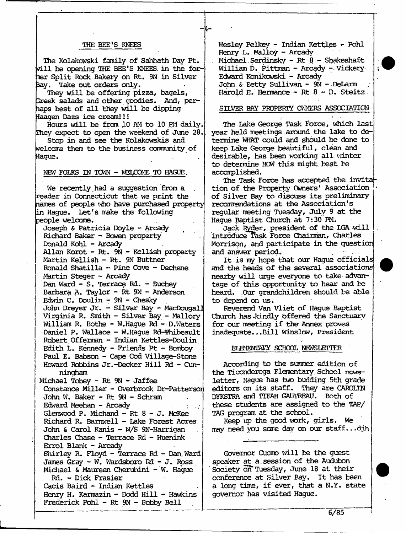#### **THE BEE'S KNEES**

**The Kolakcwski family of Sabbath Day Pt. will be opening .THE BEE'S KNEES, in the for-Tier Split Rock Bakery on Rt. 9N in Silver 3ay. Take out orders only.**

**-1 -**

**They will be offering pizza, bagels, Treek salads and other goodies. And, perhaps best of all they will be dipping laagen Dazs ice cream!!!**

Hours will be from 10 AM to 10 PM daily. **They expect to open the weekend of June 28.**

**Stop in and see the Kolakowskis and welcome them to the business community of Sague.**

NEW FOLKS IN TOWN - WELCOME TO HAGUE,

**We recently had a suggestion from a reader in Connecticut that we print the names of people who have purchased property in Hague. Let's make the following people welcome.**

**Joseph & Patricia Doyle - Arcady Richard Baker - Bowen property Donald Kohl - Arcady Allan Korot - Rt. 9N - Hellish property** Martin Kellish - Rt. 9N Buttner **Ronald Shat ilia - Pine Cove - Dechene Martin Steger - Arcady Dan Ward - S. Terrace Rd. - Buchey Barbara A. Taylor - Rt 9N - Anderson Edwin C. Doulin - 9N - Chesky John Dreyer Jr. - Silver Bay - MacDougall Virginia R. Smith - Silver Bay - Mallory William R. Bothe - W.Hague Rd - D.Waters •Daniel.P. Wallace - W.Hague Rd-Thibeault Robert Offerman - Indian Kettles-Doulin Edith L. Kennedy - Friends Pt - Bcmboy** Paul E. Babson - Cape Cod Village-Stone **Howard Robbins Jr.-Decker Hill Rd - Cunningham Michael Tobey - Rt 9M - Jaffee Constance Miller - Overbrook Dr-Patterson John W. Baker - Rt 9N - Schram Edward Meehan - Arcady : . Glenwood P. Michand - Rt 8 - J. McKee Richard R. Barnwell - Lake Forest Acres John & Carol Kanis - W/S 9N-Harrigan Charles Chase - Terrace Rd - Huenink Errol Blank - Arcady Shirley R. Floyd - Terrace Rd - Dan, Ward James Gray -** W. **Wardsboro Rd - J. Ross Michael & Maureen Cherubini - W. Hague Rd. - Dick Frasier Cacis Baird - Indian Kettles Henry H. Karmazin - Dodd Hill - Hawkins Frederick Pohl - Rt 9N - Bobby Bell**

Wesley Pelkey - Indian Kettles - Pohl **Henry L. Malloy - Arcady** Michael. Serdinsky - Rt 8 - Shakeshaft **William D. Pittman - Arcady - Vickery Edward Kdnikowski - Arcady John . & Betty Sullivan - 9N - DeLarm Harold E. Hermance - Rt 8 - D. Steitz**

#### SILVER BAY PROPERTY OWNERS ASSOCIATION

**The Lake George Task Force, which last year held meetings. around the lake to determine WHAT could and should be done to keep Lake George beautiful, clean and desirable, has been working all winter to determine HOW this might best be accomplished.**

**The Task Force has accepted the invita tion of the Property Owners' Association of Silver Bay to discuss its preliminary recommendations at the Association's regular meeting Tuesday, July 9 at the Hague Baptist Church at 7:30 PM.**

**Jack Ryder, president of the IGA will** introduce Task Force Chairman, Charles **Morrison, and participate in the question** and answer period.

**It is my hope that our Hague officials find the heads of the several associations nearby will urge everyone to take advantage of this opportunity to hear and be heard. .Our grandchildren should be able to depend on us.**

**Reverend Van Vliet of Hague Baptist Church has .kindly offered the Sanctuary for our meeting if the Annex proves inadequate.. .Bill Winslow, President**

#### **ELEMEMEArY SCHOOL NEWSLETTER '**

**According to the summer edition of the Ticonderoga Elementary School newsletter, Hague has two budding 5th grade editors on its staff. They are CAROLTN DYKSTRA and TTEAH GAUTREAU. Both of these students are assigned to the TAP/ TAG program at the school.**

**Keep up the good work, girls. We may need you sore day on our staff.. .dgh**

**Governor Cuomo will be the guest speaker at a . session of the Audubon Society on\* Tuesday, June 18 at their conference at Silver Bay. It has been a long time, if ever, that a N.Y. state governor has visited Hague.**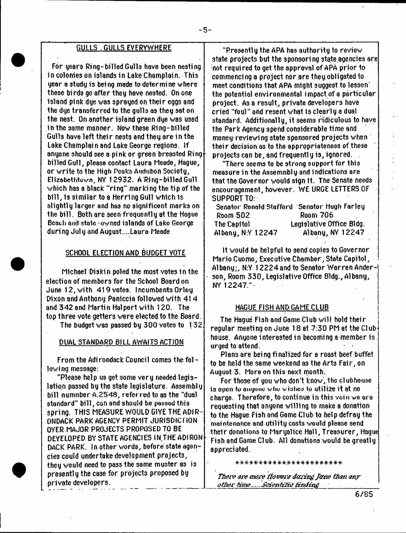# 6 ULLS .GULLS EVERYWHERE

For gears Ring-billed Gulls have been nesting in colonies on islands in Lake Champlain. This gear a study is being made to determine where these bi rds go after they have nested. On one island pink due was sprayed on their eggs and the dye transferred to the gulls as they sat on the nest. On another island green due was used in the 3ame manner. Now these Ring-billed Gulls have left their nests and they are in the Lake Champlain and Lake George regions, tf anyone should see a pink or green breasted Ring billed Gull, please contact Laura Meade, Hague, or write to the High Peaks Audubon Society, Elizabethtown, NY 12932. A Ring-billed Gull which ha3 a black "ring" marking the tip of the bill, is similar to a Herring Gull which is slightly larger and has no significent marks on the bill. Both are seen frequently at the Hague Beach end state owned islands of Lake George during July and August....Laura Meade

#### SCHOOL ELECTION AND BUDGET VOTE

Michael Oiskin poled the most votes in the election of members for the School Board on June 12, with 419 votes. Incumbents Orley Dixon and Anthony Paniccia followed with 414 and 342 and Martin Halpert with 120. The top three vote getters were elected to the Board. The budget was passed by  $300$  votes to  $132$ .

#### DUAL STANDARD BILL AWAITS ACTION

From the Adirondack Council comes the following message:

"Please help us get some very needed legislation passed by the state legislature. Assembly bill numnber A.2548, referred to as the "dual standard" bill, can and should be passed this spring. THIS MEASURE WOULD GIVE THE ADIR-ONDACK PARK AGENCY PERMIT JURISDICTION OVER MAJOR PROJECTS PROPOSED TO BE DEVELOPED BY STATE AGENCIES IN.THE ADIRON DACK PARK. In other words, before state agencies could undertake development projects, they would need to pass the same muster as is presently the case for projects proposed by private developers.

"Presently the APA has authority to review state projects but the sponsoring state agencies are not required to get the approval of APA prior to commencing a project nor are they obligated to meet conditions that APA might suggest to lessen' the potential environmental impact of a particular project. Asa result, private developers have cried "foul" and resent what is clearly a dual standard. Additionally, it seems ridiculous to have the Park Agency spend considerable time and money-reviewing state sponsored projects when their decision as to the appropriateness of these projects can be, and frequentl y is, ignored.

"There 3eems to be strong support for thi3 measure in the Assemnbly and indications are that the Governor would sign 1t. The Senate needs encouragement, however. WE URGE LETTERS OF SUPPORT TO:

|                   | Senator Ronald Stafford 'Senator Hugh Farley |
|-------------------|----------------------------------------------|
| Room 502          | <b>Room 706</b>                              |
| The Capitol       | Legislative Office Bldg.                     |
| Albany, N:Y 12247 | Albany, NY 12247                             |

It would be helpful to send copies to Governor Mario Cuomo, Executive Chamber, State Capitol, Albany;, N:Y 1 2 2 2 4 and to Senator W arren Anderson, Room 330, Legislative Office Bldg., Albany, NY 12247."-

#### HAGUE FISH AND GAME CLUB

The Hague Fish and Game Club will hold their regular meeting on June 18 at 7:30 PM at the Clubhouse. Anyone interested in becoming a member is urged to attend.

Plans are being finalized for a roast beef buffet to be held the same weekend as the Arts Fair, on August 3. More on this next month.

For those of you who don't know, the clubhouse is open to anyone who wishes to utilize it at no charge. Therefore, to continue in this vein we are requesting that anyone willing to make a donation to the Hague Fish and Game Club to help defray the maintenance and utility costs would please send their donations to Maryalice Hall, Treasurer, Hague Fish and Game Club. All donations would be greatly appreciated.

\*\*\*\*\*\*\*\*\*\*\*\*\*\*\*\*\*\*\*\*\*\*\*

There are wore *flowers doring Jame than any* other time......Scientitic tinding

6/85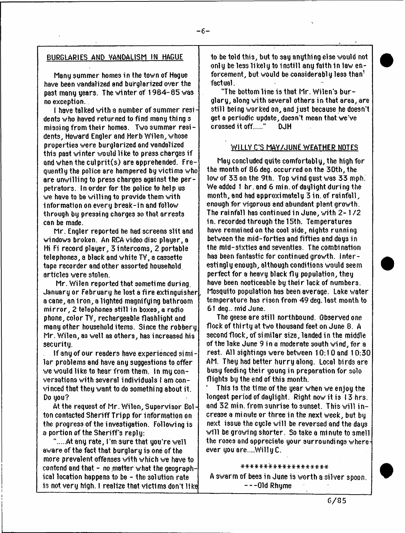## BURGLARIES AND VANDALISM IN HAGUE

Many summer homes in the town of Hague have been vandalized and burglarized over the past many years. The winter of 1984-85 was no exception.

I have talked with a number of summer  $resi$ dents who haved returned to find many thing s missing from their homes. Two summer residents, Howard Engler and Herb Wilen, whose properties were burglarized and vandalized this past winter would like to press charges if and when the culprit(s) are apprehended. Frequently the police are hampered by victims who are unwilling to press charges against the perpetrators. In order for the police to help us we have to be willing to provide them with information on every break-in and follow through by pressing charges so that arrests can be made.

Mr. Engler reported he had screens slit and windows broken. An RCA videodisc player, a Hi Fi record player, 3 intercoms, 2 portable telephones, a black and white TV, a cassette tape recorder and other assorted household articles were stolen.

Mr. Wilen reported that sometime during. January or February he lost a fire extinguisher, a cane, an iron, a lighted magnifying bathroom m irror, 2 telephones still in boxes, a radio phone, color TV, rechargeable flashlight and many other household items. Since the robbery Mr. Wilen, as well as others, has increased his security.

If any of our readers have experienced si mi lar problems and have any suggestions to offer we would like to hear from them. In my conversations with several individuals I am convi need that they want to do somethi ng about it. Do you?

At the request of Mr. Wilen, Supervisor Bolton contacted Sheriff Tripp for information on the progress of the i nvestigation. Followi ng is a portion of the Sheriff's reply:

".....At any rate, I'm sure that you're well. aware of the fact that burglary is one of the more prevalent offenses with which we have to contend and that  $-$  no matter what the geographical location happens to be - the solution rate is not very high. I realize that victims don't like to be told thi3, but to say anything else would not only be less likely to instill any faith in law enforcement, but would be considerably less than  $^1$ factual.

"The bottom line is that Mr. Wilen's burglary, along with several others in that area, are still being worked on, and just because he doesn't get a periodic update, doesn't mean that we've crossed it off....." DJH

#### WILLY C'S MAY/JUNE WEATHER NOTES

May concluded quite comfortably, the high for the month of 86 deg. occurred on the 30th, the low of 33 on the 9th. Top wind gust was 33 mph. We added 1 hr. and 6 min. of daylight during the month, and had approximately 3 in. of rainfall, enough for vigorous and abundant plant growth. The rainfall has continued in June, 'with 2 - 1 / 2 in. recorded through the 15th. Temperatures have remained on the cool side, nights running between the mid-fortie3 and fifties and days in the mid-sixties and seventies. The combination has been fantastic for continued growth. Interestingly enough, although conditions would seem perfect for a heavy black fly population, they have been nooticeable by their lack of numbers. Mosquito population has been average. Lake water tem perature has risen from 49 deg. last month to 61 deg.. rnid June.

The geese are still northbound. Observed one flock of thirty at two thousand feet on June 8. A second flock, of similar size, landed in the middle of the lake June 9 in a moderate south wind, for a rest. All 3ightings were betv/een 10:1 0 and 1 0:30 AM. They had better hurry along. Local birds are busy feeding their young in preparation for solo flights by the end of this month.

' This is the time of the year when we enjoy the longest period of daylight. Right now it is 13 hrs. and 32 min. from sunrise to sunset. This will in crease a minute or three in the next week, but by next issue the cycle will be reversed and the day**3** will be growing shorter. So take a minute to smell the roses and appreciate your surroundings whereever you are....WillyC.

## \*\*\*\*\*\*\*\*\*\*\*\*\*\*\*\*\*\*\*

A swarm of bee3 in June is worth a silver spoon. Old Rhyme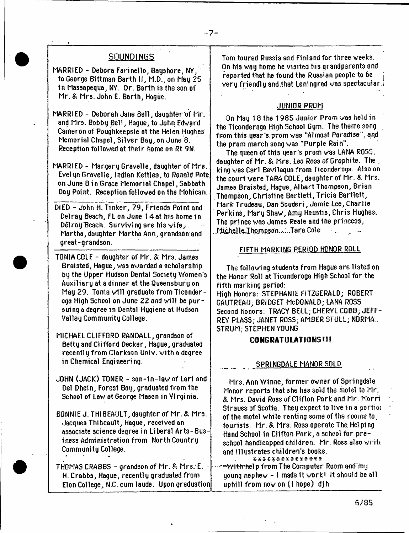# **SQUNDINGS**

MARRIED - Debora Farinello, Bayshore, NY, to George Bittman Barth II, M.D., on May 25 1n Massapequa, NY. Dr. Barth is the son of Mr. & Mrs. John E. Barth, Hague.

MARRIED - Deborah Jane Bell, daughter of Mr. and Mrs. Bobby Bell, Hague, to John Edward Cameron of Poughkeepsie at the Helen Hughes' Memorial Chapel, Silver Bay, on June 8. Reception followed at their home on Rt 9N.

MARRIED - Margery Gravelle, daughter of Mrs. Evelyn Gravelle, Indian Kettles, to Ronald Pote on June 8 in Grace Memorial Chapel, Sabbath Day Point. Reception followed on the Mohican.

DIED - John H. Tinker, 79, Friends Point and Delray Beach, FL on June 1 4 at his home in Dél ray Beach. Surviving are his wife, $\cdot$ -Martha, daughter Martha Ann, grandson and great-grandson.

TONIA COLE - daughter of Mr. & Mrs. James Braisted, Haque, was awarded a scholarship by the Upper Hudson Dental Society Women's Auxiliary at a dinner at the Queensbury on May 29. Tonia will graduate from Ticonderoga High School on June 22 and will be pursuing a degree in Dental Hygiene at Hudson Valley Community College.

MICHAEL CLIFFORD RANDALL, grandson of Betty and Clifford Decker, Hague, graduated recently from Clarkson Univ. with a degree in Chemical Engineering.

JOHN (JACK) TONER - 3on-in-law of Lari and Del Dhein, Forest Bay, graduated from the School of Lev/ at George Mason in Virginia.

BONNIE J. THIBEAULT, daughter of Mr. & Mrs. Jacques Thibcault, Hague, received an associate science degree in Liberal Arts-Busi ness Admi nistration from North Country Community College.

THOMAS CRABBS - grandson of Mr. & Mrs. E. H. Crabb3, Hague, recently graduated from Elon College, N.C. cum laude. Upon graduation Tom toured Russia and Finland for three weeks. On his way home he visited his grandparents and reported that he found the Russian people to be very friendly and that Leningrad was spectacular.

## JUNIOR PROM

On May 18 the 1985 Junior Prom was held in the Ticonderoga High School Gym. The theme song from this year's, prom was "Almost Paradise", and the prom march 3ong wa3 "Purple Rain".

The queen of this year's prom was LANA ROSS. daughter of Mr. & Mrs. Leo Ross of Graphite. The . king was Carl Bevilaqua from Ticonderoga. Also on the court were TARA COLE, daughter of Mr. & Mrs. James Braisted, Hague, Albert Thompson, Brian Thompson, Christine Bartlett, Tricia Bartlett, Mark Trudeau, Dan Scuderi, Jamie Lee, Charlie Perkins, Mary Shaw, Amy Heustis, Chris Hughes. The prince was James Reale and the princess, ...Michelle.Thompson......Tara Cole

#### FIFTH MARKING PERIOD HONOR ROLL

The following students from Hague are listed on the Honor Roll at Ticonderoga High School for the fifth marking period: High Honors: STEPHANIE FITZGERALD; ROBERT GAUTREAIJ; BRIDGET MCDONALD; LANA ROSS Second Honors: TRACY BELL; CHERYL COBB; JEFF-REY PLASS; JANET ROSS; AMBER STULL; NORMA.. STRUM; STEPHEN YOUNG

#### CONGRATULATIONS!!!

#### SPRINGDALE MANOR SOLD

Mrs. Ann Winne, former owner of Springdale Manor reports that she has sold the motel to Mr. & Mrs. David Ross of Clifton Park and Mr. Morri Strauss of Scotia. They expect to live in a portioi of the motel while renting some of the rooms to. tourists. Mr. & Mrs, Ross operate The. Helping Hand School in Clifton Park, a school for preschool handicapped children. Mr. Ross also write and illustrates children's books. \* \* \* \* \* \* \* \* \* \* \* \* \* \* \*

• With help from The Computer Room and my young nephew - I made it work! It should be all uphill from nowon (I hope) djh